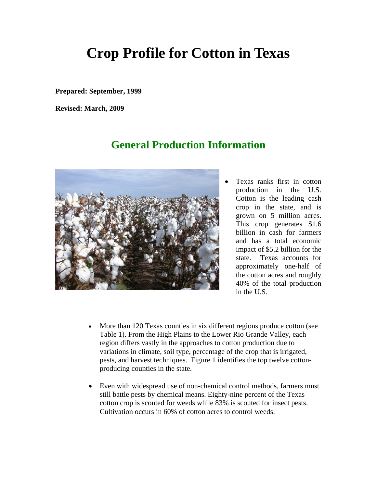# **Crop Profile for Cotton in Texas**

**Prepared: September, 1999** 

**Revised: March, 2009**

## **General Production Information**



 Texas ranks first in cotton production in the U.S. Cotton is the leading cash crop in the state, and is grown on 5 million acres. This crop generates \$1.6 billion in cash for farmers and has a total economic impact of \$5.2 billion for the state. Texas accounts for approximately one-half of the cotton acres and roughly 40% of the total production in the U.S.

- More than 120 Texas counties in six different regions produce cotton (see Table 1). From the High Plains to the Lower Rio Grande Valley, each region differs vastly in the approaches to cotton production due to variations in climate, soil type, percentage of the crop that is irrigated, pests, and harvest techniques. Figure 1 identifies the top twelve cottonproducing counties in the state.
- Even with widespread use of non-chemical control methods, farmers must still battle pests by chemical means. Eighty-nine percent of the Texas cotton crop is scouted for weeds while 83% is scouted for insect pests. Cultivation occurs in 60% of cotton acres to control weeds.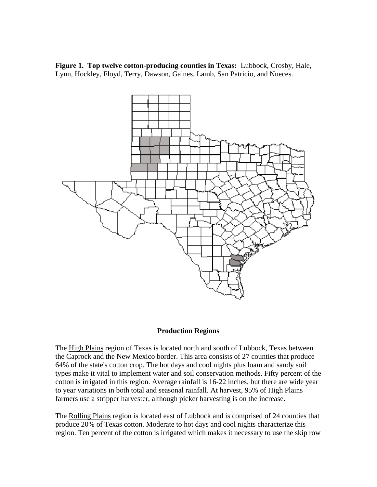**Figure 1. Top twelve cotton-producing counties in Texas:** Lubbock, Crosby, Hale, Lynn, Hockley, Floyd, Terry, Dawson, Gaines, Lamb, San Patricio, and Nueces.



### **Production Regions**

The High Plains region of Texas is located north and south of Lubbock, Texas between the Caprock and the New Mexico border. This area consists of 27 counties that produce 64% of the state's cotton crop. The hot days and cool nights plus loam and sandy soil types make it vital to implement water and soil conservation methods. Fifty percent of the cotton is irrigated in this region. Average rainfall is 16-22 inches, but there are wide year to year variations in both total and seasonal rainfall. At harvest, 95% of High Plains farmers use a stripper harvester, although picker harvesting is on the increase.

The Rolling Plains region is located east of Lubbock and is comprised of 24 counties that produce 20% of Texas cotton. Moderate to hot days and cool nights characterize this region. Ten percent of the cotton is irrigated which makes it necessary to use the skip row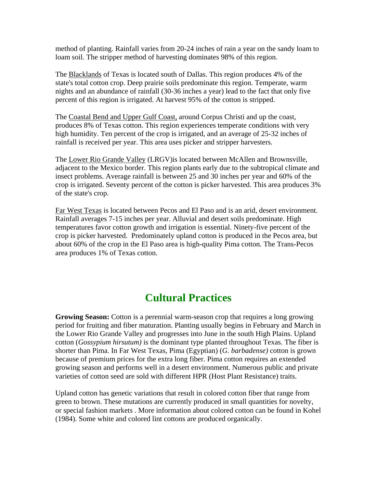method of planting. Rainfall varies from 20-24 inches of rain a year on the sandy loam to loam soil. The stripper method of harvesting dominates 98% of this region.

The Blacklands of Texas is located south of Dallas. This region produces 4% of the state's total cotton crop. Deep prairie soils predominate this region. Temperate, warm nights and an abundance of rainfall (30-36 inches a year) lead to the fact that only five percent of this region is irrigated. At harvest 95% of the cotton is stripped.

The Coastal Bend and Upper Gulf Coast, around Corpus Christi and up the coast, produces 8% of Texas cotton. This region experiences temperate conditions with very high humidity. Ten percent of the crop is irrigated, and an average of 25-32 inches of rainfall is received per year. This area uses picker and stripper harvesters.

The Lower Rio Grande Valley (LRGV)is located between McAllen and Brownsville, adjacent to the Mexico border. This region plants early due to the subtropical climate and insect problems. Average rainfall is between 25 and 30 inches per year and 60% of the crop is irrigated. Seventy percent of the cotton is picker harvested. This area produces 3% of the state's crop.

Far West Texas is located between Pecos and El Paso and is an arid, desert environment. Rainfall averages 7-15 inches per year. Alluvial and desert soils predominate. High temperatures favor cotton growth and irrigation is essential. Ninety-five percent of the crop is picker harvested. Predominately upland cotton is produced in the Pecos area, but about 60% of the crop in the El Paso area is high-quality Pima cotton. The Trans-Pecos area produces 1% of Texas cotton.

## **Cultural Practices**

**Growing Season:** Cotton is a perennial warm-season crop that requires a long growing period for fruiting and fiber maturation. Planting usually begins in February and March in the Lower Rio Grande Valley and progresses into June in the south High Plains. Upland cotton (*Gossypium hirsutum)* is the dominant type planted throughout Texas. The fiber is shorter than Pima. In Far West Texas, Pima (Egyptian) (*G. barbadense)* cotton is grown because of premium prices for the extra long fiber. Pima cotton requires an extended growing season and performs well in a desert environment. Numerous public and private varieties of cotton seed are sold with different HPR (Host Plant Resistance) traits.

Upland cotton has genetic variations that result in colored cotton fiber that range from green to brown. These mutations are currently produced in small quantities for novelty, or special fashion markets . More information about colored cotton can be found in Kohel (1984). Some white and colored lint cottons are produced organically.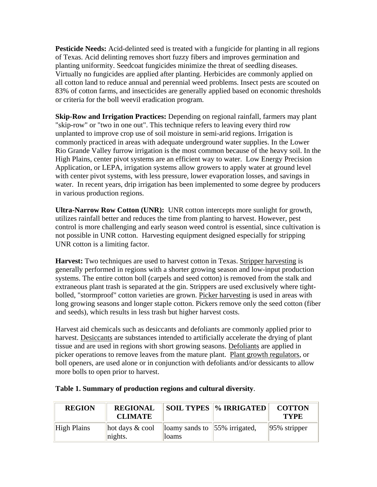**Pesticide Needs:** Acid-delinted seed is treated with a fungicide for planting in all regions of Texas. Acid delinting removes short fuzzy fibers and improves germination and planting uniformity. Seedcoat fungicides minimize the threat of seedling diseases. Virtually no fungicides are applied after planting. Herbicides are commonly applied on all cotton land to reduce annual and perennial weed problems. Insect pests are scouted on 83% of cotton farms, and insecticides are generally applied based on economic thresholds or criteria for the boll weevil eradication program.

**Skip-Row and Irrigation Practices:** Depending on regional rainfall, farmers may plant "skip-row" or "two in one out". This technique refers to leaving every third row unplanted to improve crop use of soil moisture in semi-arid regions. Irrigation is commonly practiced in areas with adequate underground water supplies. In the Lower Rio Grande Valley furrow irrigation is the most common because of the heavy soil. In the High Plains, center pivot systems are an efficient way to water. Low Energy Precision Application, or LEPA, irrigation systems allow growers to apply water at ground level with center pivot systems, with less pressure, lower evaporation losses, and savings in water. In recent years, drip irrigation has been implemented to some degree by producers in various production regions.

**Ultra-Narrow Row Cotton (UNR):** UNR cotton intercepts more sunlight for growth, utilizes rainfall better and reduces the time from planting to harvest. However, pest control is more challenging and early season weed control is essential, since cultivation is not possible in UNR cotton. Harvesting equipment designed especially for stripping UNR cotton is a limiting factor.

**Harvest:** Two techniques are used to harvest cotton in Texas. Stripper harvesting is generally performed in regions with a shorter growing season and low-input production systems. The entire cotton boll (carpels and seed cotton) is removed from the stalk and extraneous plant trash is separated at the gin. Strippers are used exclusively where tightbolled, "stormproof" cotton varieties are grown. Picker harvesting is used in areas with long growing seasons and longer staple cotton. Pickers remove only the seed cotton (fiber and seeds), which results in less trash but higher harvest costs.

Harvest aid chemicals such as desiccants and defoliants are commonly applied prior to harvest. Desiccants are substances intended to artificially accelerate the drying of plant tissue and are used in regions with short growing seasons. Defoliants are applied in picker operations to remove leaves from the mature plant. Plant growth regulators, or boll openers, are used alone or in conjunction with defoliants and/or dessicants to allow more bolls to open prior to harvest.

| <b>REGION</b> | <b>REGIONAL</b><br><b>CLIMATE</b>     |                                                | SOIL TYPES   % IRRIGATED | <b>COTTON</b><br><b>TYPE</b> |
|---------------|---------------------------------------|------------------------------------------------|--------------------------|------------------------------|
| High Plains   | $\ $ hot days & cool<br>$\ln i$ ghts. | loamy sands to $\vert$ 55% irrigated,<br>loams |                          | $ 95\%$ stripper             |

### **Table 1. Summary of production regions and cultural diversity**.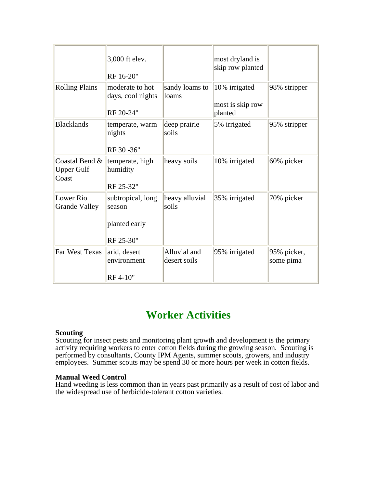|                                              | 3,000 ft elev.<br>RF 16-20"                               |                              | most dryland is<br>skip row planted          |                          |
|----------------------------------------------|-----------------------------------------------------------|------------------------------|----------------------------------------------|--------------------------|
| <b>Rolling Plains</b>                        | moderate to hot<br>days, cool nights<br>RF 20-24"         | sandy loams to<br>loams      | 10% irrigated<br>most is skip row<br>planted | 98% stripper             |
| <b>Blacklands</b>                            | temperate, warm<br>nights<br>RF 30 - 36"                  | deep prairie<br>soils        | 5% irrigated                                 | 95% stripper             |
| Coastal Bend &<br><b>Upper Gulf</b><br>Coast | temperate, high<br>humidity<br>RF 25-32"                  | heavy soils                  | 10% irrigated                                | 60% picker               |
| Lower Rio<br><b>Grande Valley</b>            | subtropical, long<br>season<br>planted early<br>RF 25-30" | heavy alluvial<br>soils      | 35% irrigated                                | 70% picker               |
| <b>Far West Texas</b>                        | arid, desert<br>environment<br>RF 4-10"                   | Alluvial and<br>desert soils | 95% irrigated                                | 95% picker,<br>some pima |

## **Worker Activities**

#### **Scouting**

Scouting for insect pests and monitoring plant growth and development is the primary activity requiring workers to enter cotton fields during the growing season. Scouting is performed by consultants, County IPM Agents, summer scouts, growers, and industry employees. Summer scouts may be spend 30 or more hours per week in cotton fields.

#### **Manual Weed Control**

Hand weeding is less common than in years past primarily as a result of cost of labor and the widespread use of herbicide-tolerant cotton varieties.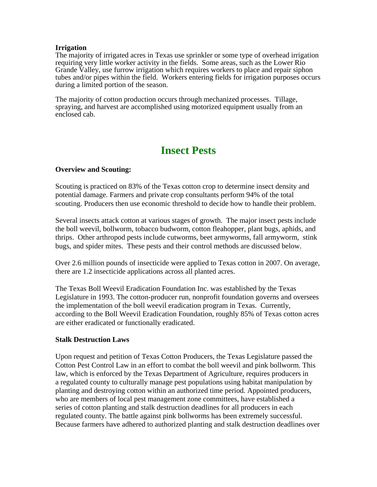#### **Irrigation**

The majority of irrigated acres in Texas use sprinkler or some type of overhead irrigation requiring very little worker activity in the fields. Some areas, such as the Lower Rio Grande Valley, use furrow irrigation which requires workers to place and repair siphon tubes and/or pipes within the field. Workers entering fields for irrigation purposes occurs during a limited portion of the season.

The majority of cotton production occurs through mechanized processes. Tillage, spraying, and harvest are accomplished using motorized equipment usually from an enclosed cab.

## **Insect Pests**

### **Overview and Scouting:**

Scouting is practiced on 83% of the Texas cotton crop to determine insect density and potential damage. Farmers and private crop consultants perform 94% of the total scouting. Producers then use economic threshold to decide how to handle their problem.

Several insects attack cotton at various stages of growth. The major insect pests include the boll weevil, bollworm, tobacco budworm, cotton fleahopper, plant bugs, aphids, and thrips. Other arthropod pests include cutworms, beet armyworms, fall armyworm, stink bugs, and spider mites. These pests and their control methods are discussed below.

Over 2.6 million pounds of insecticide were applied to Texas cotton in 2007. On average, there are 1.2 insecticide applications across all planted acres.

The Texas Boll Weevil Eradication Foundation Inc. was established by the Texas Legislature in 1993. The cotton-producer run, nonprofit foundation governs and oversees the implementation of the boll weevil eradication program in Texas. Currently, according to the Boll Weevil Eradication Foundation, roughly 85% of Texas cotton acres are either eradicated or functionally eradicated.

### **Stalk Destruction Laws**

Upon request and petition of Texas Cotton Producers, the Texas Legislature passed the Cotton Pest Control Law in an effort to combat the boll weevil and pink bollworm. This law, which is enforced by the Texas Department of Agriculture, requires producers in a regulated county to culturally manage pest populations using habitat manipulation by planting and destroying cotton within an authorized time period. Appointed producers, who are members of local pest management zone committees, have established a series of cotton planting and stalk destruction deadlines for all producers in each regulated county. The battle against pink bollworms has been extremely successful. Because farmers have adhered to authorized planting and stalk destruction deadlines over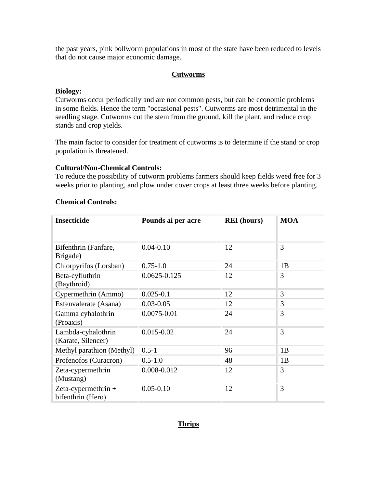the past years, pink bollworm populations in most of the state have been reduced to levels that do not cause major economic damage.

### **Cutworms**

### **Biology:**

Cutworms occur periodically and are not common pests, but can be economic problems in some fields. Hence the term "occasional pests". Cutworms are most detrimental in the seedling stage. Cutworms cut the stem from the ground, kill the plant, and reduce crop stands and crop yields.

The main factor to consider for treatment of cutworms is to determine if the stand or crop population is threatened.

### **Cultural/Non-Chemical Controls:**

To reduce the possibility of cutworm problems farmers should keep fields weed free for 3 weeks prior to planting, and plow under cover crops at least three weeks before planting.

| <b>Insecticide</b>                         | Pounds ai per acre | <b>REI</b> (hours) | <b>MOA</b> |
|--------------------------------------------|--------------------|--------------------|------------|
| Bifenthrin (Fanfare,<br>Brigade)           | $0.04 - 0.10$      | 12                 | 3          |
| Chlorpyrifos (Lorsban)                     | $0.75 - 1.0$       | 24                 | 1B         |
| Beta-cyfluthrin<br>(Baythroid)             | $0.0625 - 0.125$   | 12                 | 3          |
| Cypermethrin (Ammo)                        | $0.025 - 0.1$      | 12                 | 3          |
| Esfenvalerate (Asana)                      | $0.03 - 0.05$      | 12                 | 3          |
| Gamma cyhalothrin<br>(Proaxis)             | $0.0075 - 0.01$    | 24                 | 3          |
| Lambda-cyhalothrin<br>(Karate, Silencer)   | $0.015 - 0.02$     | 24                 | 3          |
| Methyl parathion (Methyl)                  | $0.5 - 1$          | 96                 | 1B         |
| Profenofos (Curacron)                      | $0.5 - 1.0$        | 48                 | 1B         |
| Zeta-cypermethrin<br>(Mustang)             | 0.008-0.012        | 12                 | 3          |
| Zeta-cypermethrin $+$<br>bifenthrin (Hero) | $0.05 - 0.10$      | 12                 | 3          |

### **Chemical Controls:**

### **Thrips**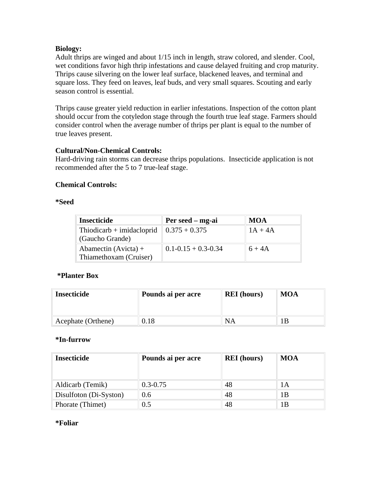### **Biology:**

Adult thrips are winged and about 1/15 inch in length, straw colored, and slender. Cool, wet conditions favor high thrip infestations and cause delayed fruiting and crop maturity. Thrips cause silvering on the lower leaf surface, blackened leaves, and terminal and square loss. They feed on leaves, leaf buds, and very small squares. Scouting and early season control is essential.

Thrips cause greater yield reduction in earlier infestations. Inspection of the cotton plant should occur from the cotyledon stage through the fourth true leaf stage. Farmers should consider control when the average number of thrips per plant is equal to the number of true leaves present.

### **Cultural/Non-Chemical Controls:**

Hard-driving rain storms can decrease thrips populations. Insecticide application is not recommended after the 5 to 7 true-leaf stage.

### **Chemical Controls:**

### **\*Seed**

| <b>Insecticide</b>                               | Per seed – mg-ai          | <b>MOA</b> |
|--------------------------------------------------|---------------------------|------------|
| $Thiodicarb + imidacloprid$<br>(Gaucho Grande)   | $0.375 + 0.375$           | $1A + 4A$  |
| Abamectin $(Avicta) +$<br>Thiamethoxam (Cruiser) | $0.1 - 0.15 + 0.3 - 0.34$ | $6+4A$     |

### **\*Planter Box**

| <b>Insecticide</b> | Pounds ai per acre | <b>REI</b> (hours) | <b>MOA</b> |
|--------------------|--------------------|--------------------|------------|
| Acephate (Orthene) | 0.18               | <b>NA</b>          | B          |

### **\*In-furrow**

| <b>Insecticide</b>     | Pounds ai per acre | <b>REI</b> (hours) | MOA |
|------------------------|--------------------|--------------------|-----|
| Aldicarb (Temik)       | $0.3 - 0.75$       | 48                 | lА  |
| Disulfoton (Di-Syston) | 0.6                | 48                 | 1Β  |
| Phorate (Thimet)       | $0.5\,$            | 48                 | l B |

#### **\*Foliar**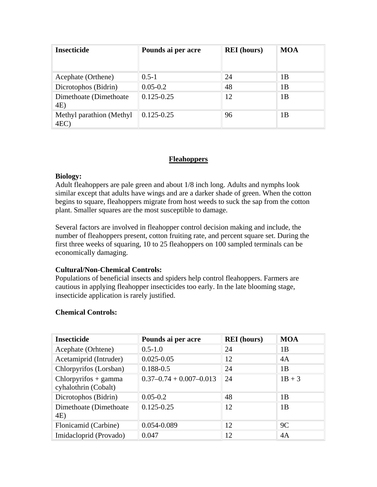| <b>Insecticide</b>              | Pounds ai per acre | <b>REI</b> (hours) | <b>MOA</b> |
|---------------------------------|--------------------|--------------------|------------|
| Acephate (Orthene)              | $0.5 - 1$          | 24                 | 1Β         |
| Dicrotophos (Bidrin)            | $0.05 - 0.2$       | 48                 | 1B         |
| Dimethoate (Dimethoate)<br>4E)  | $0.125 - 0.25$     | 12                 | 1B         |
| Methyl parathion (Methyl<br>4EC | $0.125 - 0.25$     | 96                 | 1Β         |

### **Fleahoppers**

### **Biology:**

Adult fleahoppers are pale green and about 1/8 inch long. Adults and nymphs look similar except that adults have wings and are a darker shade of green. When the cotton begins to square, fleahoppers migrate from host weeds to suck the sap from the cotton plant. Smaller squares are the most susceptible to damage.

Several factors are involved in fleahopper control decision making and include, the number of fleahoppers present, cotton fruiting rate, and percent square set. During the first three weeks of squaring, 10 to 25 fleahoppers on 100 sampled terminals can be economically damaging.

### **Cultural/Non-Chemical Controls:**

Populations of beneficial insects and spiders help control fleahoppers. Farmers are cautious in applying fleahopper insecticides too early. In the late blooming stage, insecticide application is rarely justified.

| <b>Insecticide</b>                             | Pounds ai per acre            | <b>REI</b> (hours) | <b>MOA</b> |
|------------------------------------------------|-------------------------------|--------------------|------------|
| Acephate (Orhtene)                             | $0.5 - 1.0$                   | 24                 | 1Β         |
| Acetamiprid (Intruder)                         | $0.025 - 0.05$                | 12                 | 4A         |
| Chlorpyrifos (Lorsban)                         | $0.188 - 0.5$                 | 24                 | 1B         |
| $Chlorpyrifos + gamma$<br>cyhalothrin (Cobalt) | $0.37 - 0.74 + 0.007 - 0.013$ | 24                 | $1B + 3$   |
| Dicrotophos (Bidrin)                           | $0.05 - 0.2$                  | 48                 | 1Β         |
| Dimethoate (Dimethoate)<br>4E)                 | $0.125 - 0.25$                | 12                 | 1B         |
| Flonicamid (Carbine)                           | 0.054-0.089                   | 12                 | 9C         |
| Imidacloprid (Provado)                         | 0.047                         | 12                 | 4A         |

### **Chemical Controls:**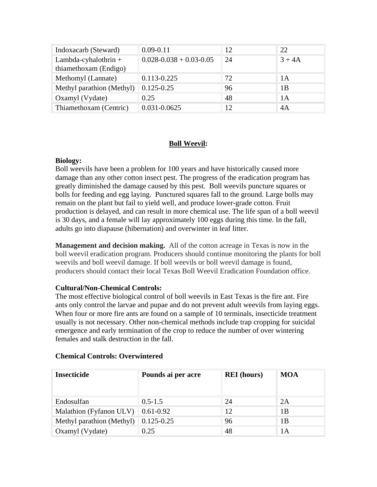| Indoxacarb (Steward)                            | $0.09 - 0.11$                 | 12 | 22.      |
|-------------------------------------------------|-------------------------------|----|----------|
| Lambda-cyhalothrin $+$<br>thiamethoxam (Endigo) | $0.028 - 0.038 + 0.03 - 0.05$ | 24 | $3 + 4A$ |
| Methomyl (Lannate)                              | $0.113 - 0.225$               | 72 | 1 A      |
| Methyl parathion (Methyl)                       | $0.125 - 0.25$                | 96 | 1B       |
| Oxamyl (Vydate)                                 | 0.25                          | 48 | 1A       |
| Thiamethoxam (Centric)                          | 0.031-0.0625                  | 12 | 4A       |

### **Boll Weevil:**

### **Biology:**

Boll weevils have been a problem for 100 years and have historically caused more damage than any other cotton insect pest. The progress of the eradication program has greatly diminished the damage caused by this pest. Boll weevils puncture squares or bolls for feeding and egg laying. Punctured squares fall to the ground. Large bolls may remain on the plant but fail to yield well, and produce lower-grade cotton. Fruit production is delayed, and can result in more chemical use. The life span of a boll weevil is 30 days, and a female will lay approximately 100 eggs during this time. In the fall, adults go into diapause (hibernation) and overwinter in leaf litter.

**Management and decision making.** All of the cotton acreage in Texas is now in the boll weevil eradication program. Producers should continue monitoring the plants for boll weevils and boll weevil damage. If boll weevils or boll weevil damage is found, producers should contact their local Texas Boll Weevil Eradication Foundation office.

### **Cultural/Non-Chemical Controls:**

The most effective biological control of boll weevils in East Texas is the fire ant. Fire ants only control the larvae and pupae and do not prevent adult weevils from laying eggs. When four or more fire ants are found on a sample of 10 terminals, insecticide treatment usually is not necessary. Other non-chemical methods include trap cropping for suicidal emergence and early termination of the crop to reduce the number of over wintering females and stalk destruction in the fall.

| <b>Insecticide</b>        | Pounds ai per acre                | <b>REI</b> (hours) | <b>MOA</b> |
|---------------------------|-----------------------------------|--------------------|------------|
|                           |                                   |                    |            |
| Endosulfan                | $0.5 - 1.5$                       | 24                 | 2A         |
| Malathion (Fyfanon ULV)   | $\parallel 0.61 - 0.92 \parallel$ | 12                 | 1Β         |
| Methyl parathion (Methyl) | $0.125 - 0.25$                    | 96                 | 1Β         |
| Oxamyl (Vydate)           | 0.25                              | 48                 | 1А         |

### **Chemical Controls: Overwintered**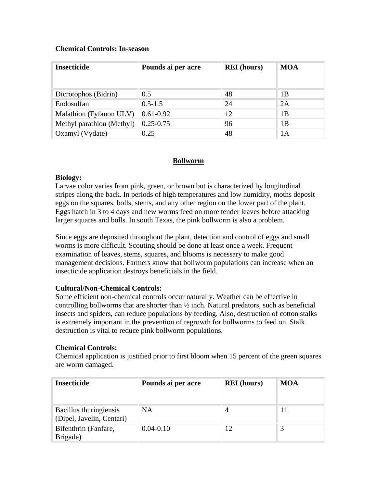### **Chemical Controls: In-season**

| <b>Insecticide</b>        | Pounds ai per acre        | <b>REI</b> (hours) | <b>MOA</b> |
|---------------------------|---------------------------|--------------------|------------|
|                           |                           |                    |            |
| Dicrotophos (Bidrin)      | $0.5\,$                   | 48                 | 1Β         |
| Endosulfan                | $0.5 - 1.5$               | 24                 | 2A         |
| Malathion (Fyfanon ULV)   | $\vert 0.61 - 0.92 \vert$ | 12                 | 1B         |
| Methyl parathion (Methyl) | $0.25 - 0.75$             | 96                 | 1Β         |
| Oxamyl (Vydate)           | 0.25                      | 48                 | 1Α         |

### **Bollworm**

### **Biology:**

Larvae color varies from pink, green, or brown but is characterized by longitudinal stripes along the back. In periods of high temperatures and low humidity, moths deposit eggs on the squares, bolls, stems, and any other region on the lower part of the plant. Eggs hatch in 3 to 4 days and new worms feed on more tender leaves before attacking larger squares and bolls. In south Texas, the pink bollworm is also a problem.

Since eggs are deposited throughout the plant, detection and control of eggs and small worms is more difficult. Scouting should be done at least once a week. Frequent examination of leaves, stems, squares, and blooms is necessary to make good management decisions. Farmers know that bollworm populations can increase when an insecticide application destroys beneficials in the field.

### **Cultural/Non-Chemical Controls:**

Some efficient non-chemical controls occur naturally. Weather can be effective in controlling bollworms that are shorter than ½ inch. Natural predators, such as beneficial insects and spiders, can reduce populations by feeding. Also, destruction of cotton stalks is extremely important in the prevention of regrowth for bollworms to feed on. Stalk destruction is vital to reduce pink bollworm populations.

### **Chemical Controls:**

Chemical application is justified prior to first bloom when 15 percent of the green squares are worm damaged.

| <b>Insecticide</b>                                  | Pounds ai per acre | <b>REI</b> (hours) | MOA |
|-----------------------------------------------------|--------------------|--------------------|-----|
|                                                     |                    |                    |     |
| Bacillus thuringiensis<br>(Dipel, Javelin, Centari) | NA                 |                    |     |
| Bifenthrin (Fanfare,<br>Brigade)                    | $0.04 - 0.10$      | 12                 |     |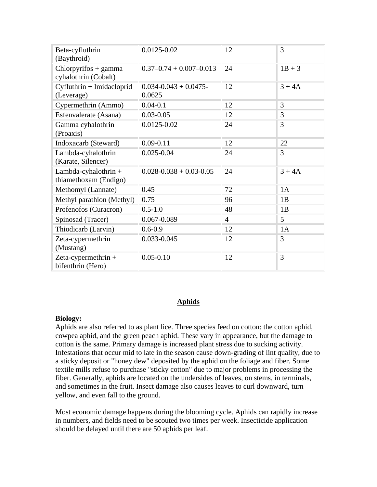| Beta-cyfluthrin<br>(Baythroid)                  | 0.0125-0.02                        | 12 | 3        |
|-------------------------------------------------|------------------------------------|----|----------|
| $Chlorpyrifos + gamma$<br>cyhalothrin (Cobalt)  | $0.37 - 0.74 + 0.007 - 0.013$      | 24 | $1B + 3$ |
| Cyfluthrin + Imidacloprid<br>(Leverage)         | $0.034 - 0.043 + 0.0475$<br>0.0625 | 12 | $3 + 4A$ |
| Cypermethrin (Ammo)                             | $0.04 - 0.1$                       | 12 | 3        |
| Esfenvalerate (Asana)                           | $0.03 - 0.05$                      | 12 | 3        |
| Gamma cyhalothrin<br>(Proaxis)                  | 0.0125-0.02                        | 24 | 3        |
| Indoxacarb (Steward)                            | $0.09 - 0.11$                      | 12 | 22       |
| Lambda-cyhalothrin<br>(Karate, Silencer)        | $0.025 - 0.04$                     | 24 | 3        |
| Lambda-cyhalothrin $+$<br>thiamethoxam (Endigo) | $0.028 - 0.038 + 0.03 - 0.05$      | 24 | $3 + 4A$ |
| Methomyl (Lannate)                              | 0.45                               | 72 | 1A       |
| Methyl parathion (Methyl)                       | 0.75                               | 96 | 1B       |
| Profenofos (Curacron)                           | $0.5 - 1.0$                        | 48 | 1B       |
| Spinosad (Tracer)                               | 0.067-0.089                        | 4  | 5        |
| Thiodicarb (Larvin)                             | $0.6 - 0.9$                        | 12 | 1A       |
| Zeta-cypermethrin<br>(Mustang)                  | 0.033-0.045                        | 12 | 3        |
| Zeta-cypermethrin $+$<br>bifenthrin (Hero)      | $0.05 - 0.10$                      | 12 | 3        |

### **Aphids**

### **Biology:**

Aphids are also referred to as plant lice. Three species feed on cotton: the cotton aphid, cowpea aphid, and the green peach aphid. These vary in appearance, but the damage to cotton is the same. Primary damage is increased plant stress due to sucking activity. Infestations that occur mid to late in the season cause down-grading of lint quality, due to a sticky deposit or "honey dew" deposited by the aphid on the foliage and fiber. Some textile mills refuse to purchase "sticky cotton" due to major problems in processing the fiber. Generally, aphids are located on the undersides of leaves, on stems, in terminals, and sometimes in the fruit. Insect damage also causes leaves to curl downward, turn yellow, and even fall to the ground.

Most economic damage happens during the blooming cycle. Aphids can rapidly increase in numbers, and fields need to be scouted two times per week. Insecticide application should be delayed until there are 50 aphids per leaf.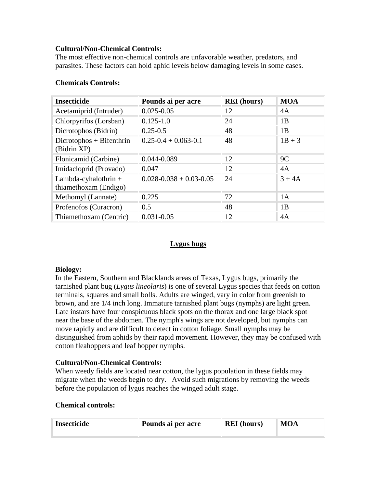### **Cultural/Non-Chemical Controls:**

The most effective non-chemical controls are unfavorable weather, predators, and parasites. These factors can hold aphid levels below damaging levels in some cases.

| <b>Insecticide</b>                            | Pounds ai per acre            | <b>REI</b> (hours) | <b>MOA</b> |
|-----------------------------------------------|-------------------------------|--------------------|------------|
| Acetamiprid (Intruder)                        | $0.025 - 0.05$                | 12                 | 4A         |
| Chlorpyrifos (Lorsban)                        | $0.125 - 1.0$                 | 24                 | 1B         |
| Dicrotophos (Bidrin)                          | $0.25 - 0.5$                  | 48                 | 1B         |
| $Dicrotophos + Bifenthrin$<br>(Bidrin XP)     | $0.25 - 0.4 + 0.063 - 0.1$    | 48                 | $1B + 3$   |
| Flonicamid (Carbine)                          | 0.044-0.089                   | 12                 | 9C         |
| Imidacloprid (Provado)                        | 0.047                         | 12                 | 4A         |
| Lambda-cyhalothrin +<br>thiamethoxam (Endigo) | $0.028 - 0.038 + 0.03 - 0.05$ | 24                 | $3 + 4A$   |
| Methomyl (Lannate)                            | 0.225                         | 72                 | 1A         |
| Profenofos (Curacron)                         | 0.5                           | 48                 | 1B         |
| Thiamethoxam (Centric)                        | $0.031 - 0.05$                | 12                 | 4A         |

### **Chemicals Controls:**

### **Lygus bugs**

### **Biology:**

In the Eastern, Southern and Blacklands areas of Texas, Lygus bugs, primarily the tarnished plant bug (*Lygus lineolaris*) is one of several Lygus species that feeds on cotton terminals, squares and small bolls. Adults are winged, vary in color from greenish to brown, and are 1/4 inch long. Immature tarnished plant bugs (nymphs) are light green. Late instars have four conspicuous black spots on the thorax and one large black spot near the base of the abdomen. The nymph's wings are not developed, but nymphs can move rapidly and are difficult to detect in cotton foliage. Small nymphs may be distinguished from aphids by their rapid movement. However, they may be confused with cotton fleahoppers and leaf hopper nymphs.

### **Cultural/Non-Chemical Controls:**

When weedy fields are located near cotton, the lygus population in these fields may migrate when the weeds begin to dry. Avoid such migrations by removing the weeds before the population of lygus reaches the winged adult stage.

### **Chemical controls:**

| <b>Insecticide</b> | Pounds ai per acre | <b>REI</b> (hours) | <b>MOA</b> |
|--------------------|--------------------|--------------------|------------|
|                    |                    |                    |            |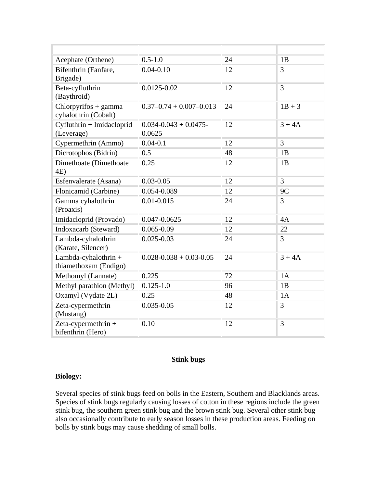| Acephate (Orthene)                             | $0.5 - 1.0$                        | 24 | 1B             |
|------------------------------------------------|------------------------------------|----|----------------|
| Bifenthrin (Fanfare,<br>Brigade)               | $0.04 - 0.10$                      | 12 | 3              |
| Beta-cyfluthrin<br>(Baythroid)                 | $0.0125 - 0.02$                    | 12 | $\overline{3}$ |
| $Chlorpyrifos + gamma$<br>cyhalothrin (Cobalt) | $0.37 - 0.74 + 0.007 - 0.013$      | 24 | $1B + 3$       |
| Cyfluthrin + Imidacloprid<br>(Leverage)        | $0.034 - 0.043 + 0.0475$<br>0.0625 | 12 | $3 + 4A$       |
| Cypermethrin (Ammo)                            | $0.04 - 0.1$                       | 12 | $\overline{3}$ |
| Dicrotophos (Bidrin)                           | 0.5                                | 48 | 1B             |
| Dimethoate (Dimethoate<br>4E)                  | 0.25                               | 12 | 1B             |
| Esfenvalerate (Asana)                          | $0.03 - 0.05$                      | 12 | $\overline{3}$ |
| Flonicamid (Carbine)                           | 0.054-0.089                        | 12 | 9C             |
| Gamma cyhalothrin<br>(Proaxis)                 | $0.01 - 0.015$                     | 24 | 3              |
| Imidacloprid (Provado)                         | 0.047-0.0625                       | 12 | 4A             |
| Indoxacarb (Steward)                           | $0.065 - 0.09$                     | 12 | 22             |
| Lambda-cyhalothrin<br>(Karate, Silencer)       | $0.025 - 0.03$                     | 24 | 3              |
| Lambda-cyhalothrin +<br>thiamethoxam (Endigo)  | $0.028 - 0.038 + 0.03 - 0.05$      | 24 | $3 + 4A$       |
| Methomyl (Lannate)                             | 0.225                              | 72 | 1A             |
| Methyl parathion (Methyl)                      | $0.125 - 1.0$                      | 96 | 1B             |
| Oxamyl (Vydate 2L)                             | 0.25                               | 48 | 1A             |
| Zeta-cypermethrin<br>(Mustang)                 | $0.035 - 0.05$                     | 12 | 3              |
| Zeta-cypermethrin $+$<br>bifenthrin (Hero)     | 0.10                               | 12 | 3              |

### **Stink bugs**

#### **Biology:**

Several species of stink bugs feed on bolls in the Eastern, Southern and Blacklands areas. Species of stink bugs regularly causing losses of cotton in these regions include the green stink bug, the southern green stink bug and the brown stink bug. Several other stink bug also occasionally contribute to early season losses in these production areas. Feeding on bolls by stink bugs may cause shedding of small bolls.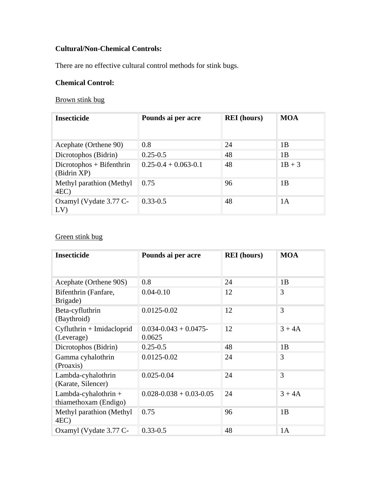### **Cultural/Non-Chemical Controls:**

There are no effective cultural control methods for stink bugs.

### **Chemical Control:**

### Brown stink bug

| <b>Insecticide</b>                        | Pounds ai per acre         | <b>REI</b> (hours) | <b>MOA</b> |
|-------------------------------------------|----------------------------|--------------------|------------|
| Acephate (Orthene 90)                     | 0.8                        | 24                 | 1B         |
| Dicrotophos (Bidrin)                      | $0.25 - 0.5$               | 48                 | 1B         |
| $Dicrotophos + Bifenthrin$<br>(Bidrin XP) | $0.25 - 0.4 + 0.063 - 0.1$ | 48                 | $1B + 3$   |
| Methyl parathion (Methyl<br>4EC           | 0.75                       | 96                 | 1B         |
| Oxamyl (Vydate 3.77 C-<br>LV)             | $0.33 - 0.5$               | 48                 | 1A         |

### Green stink bug

| <b>Insecticide</b>                              | Pounds ai per acre                 | <b>REI</b> (hours) | <b>MOA</b> |
|-------------------------------------------------|------------------------------------|--------------------|------------|
| Acephate (Orthene 90S)                          | 0.8                                | 24                 | 1B         |
| Bifenthrin (Fanfare,<br>Brigade)                | $0.04 - 0.10$                      | 12                 | 3          |
| Beta-cyfluthrin<br>(Baythroid)                  | 0.0125-0.02                        | 12                 | 3          |
| Cyfluthrin + Imidacloprid<br>(Leverage)         | $0.034 - 0.043 + 0.0475$<br>0.0625 | 12                 | $3 + 4A$   |
| Dicrotophos (Bidrin)                            | $0.25 - 0.5$                       | 48                 | 1B         |
| Gamma cyhalothrin<br>(Proaxis)                  | $0.0125 - 0.02$                    | 24                 | 3          |
| Lambda-cyhalothrin<br>(Karate, Silencer)        | $0.025 - 0.04$                     | 24                 | 3          |
| Lambda-cyhalothrin $+$<br>thiamethoxam (Endigo) | $0.028 - 0.038 + 0.03 - 0.05$      | 24                 | $3 + 4A$   |
| Methyl parathion (Methyl<br>4EC)                | 0.75                               | 96                 | 1B         |
| Oxamyl (Vydate 3.77 C-                          | $0.33 - 0.5$                       | 48                 | 1A         |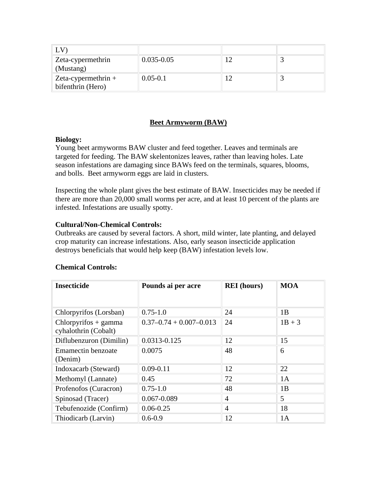| $\mathsf{L}\mathsf{V}$                     |                |  |
|--------------------------------------------|----------------|--|
| Zeta-cypermethrin<br>(Mustang)             | $0.035 - 0.05$ |  |
| Zeta-cypermethrin $+$<br>bifenthrin (Hero) | $0.05 - 0.1$   |  |

### **Beet Armyworm (BAW)**

### **Biology:**

Young beet armyworms BAW cluster and feed together. Leaves and terminals are targeted for feeding. The BAW skelentonizes leaves, rather than leaving holes. Late season infestations are damaging since BAWs feed on the terminals, squares, blooms, and bolls. Beet armyworm eggs are laid in clusters.

Inspecting the whole plant gives the best estimate of BAW. Insecticides may be needed if there are more than 20,000 small worms per acre, and at least 10 percent of the plants are infested. Infestations are usually spotty.

### **Cultural/Non-Chemical Controls:**

Outbreaks are caused by several factors. A short, mild winter, late planting, and delayed crop maturity can increase infestations. Also, early season insecticide application destroys beneficials that would help keep (BAW) infestation levels low.

| <b>Insecticide</b>                             | Pounds ai per acre            | <b>REI</b> (hours) | <b>MOA</b> |  |
|------------------------------------------------|-------------------------------|--------------------|------------|--|
|                                                |                               |                    |            |  |
| Chlorpyrifos (Lorsban)                         | $0.75 - 1.0$                  | 24                 | 1B         |  |
| $Chlorpyrifos + gamma$<br>cyhalothrin (Cobalt) | $0.37 - 0.74 + 0.007 - 0.013$ | 24                 | $1B + 3$   |  |
| Diflubenzuron (Dimilin)                        | 0.0313-0.125                  | 12                 | 15         |  |
| <b>Emamectin benzoate</b>                      | 0.0075                        | 48                 | 6          |  |
| (Denim)                                        |                               |                    |            |  |
| Indoxacarb (Steward)                           | $0.09 - 0.11$                 | 12                 | 22         |  |
| Methomyl (Lannate)                             | 0.45                          | 72                 | 1A         |  |
| Profenofos (Curacron)                          | $0.75 - 1.0$                  | 48                 | 1B         |  |
| Spinosad (Tracer)                              | 0.067-0.089                   | $\overline{4}$     | 5          |  |
| Tebufenozide (Confirm)                         | $0.06 - 0.25$                 | 4                  | 18         |  |
| Thiodicarb (Larvin)                            | $0.6 - 0.9$                   | 12                 | 1A         |  |

### **Chemical Controls:**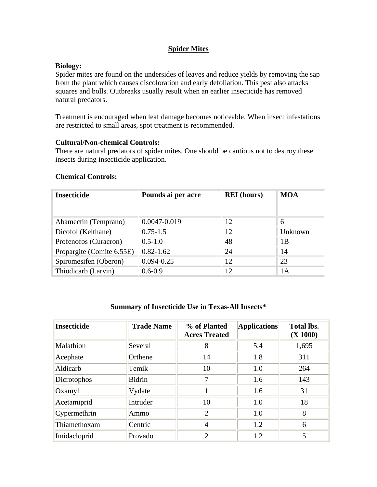### **Spider Mites**

### **Biology:**

Spider mites are found on the undersides of leaves and reduce yields by removing the sap from the plant which causes discoloration and early defoliation. This pest also attacks squares and bolls. Outbreaks usually result when an earlier insecticide has removed natural predators.

Treatment is encouraged when leaf damage becomes noticeable. When insect infestations are restricted to small areas, spot treatment is recommended.

### **Cultural/Non-chemical Controls:**

There are natural predators of spider mites. One should be cautious not to destroy these insects during insecticide application.

| <b>Insecticide</b>        | Pounds ai per acre | <b>REI</b> (hours) | <b>MOA</b> |
|---------------------------|--------------------|--------------------|------------|
| Abamectin (Temprano)      | 0.0047-0.019       | 12                 | 6          |
| Dicofol (Kelthane)        | $0.75 - 1.5$       | 12                 | Unknown    |
| Profenofos (Curacron)     | $0.5 - 1.0$        | 48                 | 1Β         |
| Propargite (Comite 6.55E) | $0.82 - 1.62$      | 24                 | 14         |
| Spiromesifen (Oberon)     | $0.094 - 0.25$     | 12                 | 23         |
| Thiodicarb (Larvin)       | $0.6 - 0.9$        | 12                 | 1A         |

#### **Summary of Insecticide Use in Texas-All Insects\***

| Insecticide  | <b>Trade Name</b> | % of Planted<br><b>Acres Treated</b> | <b>Applications</b> | <b>Total lbs.</b><br>(X 1000) |
|--------------|-------------------|--------------------------------------|---------------------|-------------------------------|
| Malathion    | Several           | 8                                    | 5.4                 | 1,695                         |
| Acephate     | Orthene           | 14                                   | 1.8                 | 311                           |
| Aldicarb     | Temik             | 10                                   | 1.0                 | 264                           |
| Dicrotophos  | <b>Bidrin</b>     | 7                                    | 1.6                 | 143                           |
| Oxamyl       | Vydate            |                                      | 1.6                 | 31                            |
| Acetamiprid  | Intruder          | 10                                   | 1.0                 | 18                            |
| Cypermethrin | Ammo              | $\overline{2}$                       | 1.0                 | 8                             |
| Thiamethoxam | Centric           | $\overline{4}$                       | 1.2                 | 6                             |
| Imidacloprid | Provado           | $\overline{2}$                       | 1.2                 | 5                             |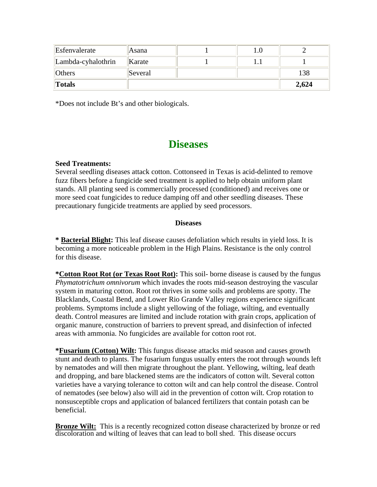| Esfenvalerate      | Asana   | 1.O |       |
|--------------------|---------|-----|-------|
| Lambda-cyhalothrin | Karate  |     |       |
| <b>Others</b>      | Several |     | 138   |
| Totals             |         |     | 2,624 |

\*Does not include Bt's and other biologicals.

## **Diseases**

### **Seed Treatments:**

Several seedling diseases attack cotton. Cottonseed in Texas is acid-delinted to remove fuzz fibers before a fungicide seed treatment is applied to help obtain uniform plant stands. All planting seed is commercially processed (conditioned) and receives one or more seed coat fungicides to reduce damping off and other seedling diseases. These precautionary fungicide treatments are applied by seed processors.

### **Diseases**

**\* Bacterial Blight:** This leaf disease causes defoliation which results in yield loss. It is becoming a more noticeable problem in the High Plains. Resistance is the only control for this disease.

**\*Cotton Root Rot (or Texas Root Rot):** This soil- borne disease is caused by the fungus *Phymatotrichum omnivorum* which invades the roots mid-season destroying the vascular system in maturing cotton. Root rot thrives in some soils and problems are spotty. The Blacklands, Coastal Bend, and Lower Rio Grande Valley regions experience significant problems. Symptoms include a slight yellowing of the foliage, wilting, and eventually death. Control measures are limited and include rotation with grain crops, application of organic manure, construction of barriers to prevent spread, and disinfection of infected areas with ammonia. No fungicides are available for cotton root rot.

**\*Fusarium (Cotton) Wilt:** This fungus disease attacks mid season and causes growth stunt and death to plants. The fusarium fungus usually enters the root through wounds left by nematodes and will then migrate throughout the plant. Yellowing, wilting, leaf death and dropping, and bare blackened stems are the indicators of cotton wilt. Several cotton varieties have a varying tolerance to cotton wilt and can help control the disease. Control of nematodes (see below) also will aid in the prevention of cotton wilt. Crop rotation to nonsusceptible crops and application of balanced fertilizers that contain potash can be beneficial.

**Bronze Wilt:** This is a recently recognized cotton disease characterized by bronze or red discoloration and wilting of leaves that can lead to boll shed. This disease occurs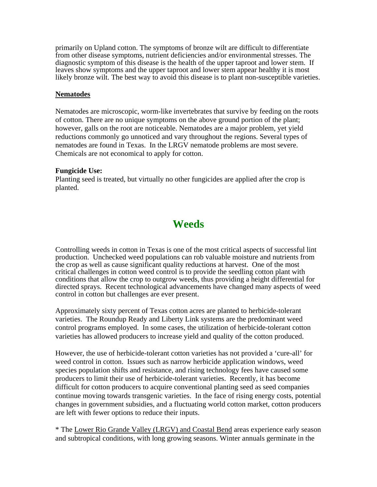primarily on Upland cotton. The symptoms of bronze wilt are difficult to differentiate from other disease symptoms, nutrient deficiencies and/or environmental stresses. The diagnostic symptom of this disease is the health of the upper taproot and lower stem. If leaves show symptoms and the upper taproot and lower stem appear healthy it is most likely bronze wilt. The best way to avoid this disease is to plant non-susceptible varieties.

### **Nematodes**

Nematodes are microscopic, worm-like invertebrates that survive by feeding on the roots of cotton. There are no unique symptoms on the above ground portion of the plant; however, galls on the root are noticeable. Nematodes are a major problem, yet yield reductions commonly go unnoticed and vary throughout the regions. Several types of nematodes are found in Texas. In the LRGV nematode problems are most severe. Chemicals are not economical to apply for cotton.

### **Fungicide Use:**

Planting seed is treated, but virtually no other fungicides are applied after the crop is planted.

## **Weeds**

Controlling weeds in cotton in Texas is one of the most critical aspects of successful lint production. Unchecked weed populations can rob valuable moisture and nutrients from the crop as well as cause significant quality reductions at harvest. One of the most critical challenges in cotton weed control is to provide the seedling cotton plant with conditions that allow the crop to outgrow weeds, thus providing a height differential for directed sprays. Recent technological advancements have changed many aspects of weed control in cotton but challenges are ever present.

Approximately sixty percent of Texas cotton acres are planted to herbicide-tolerant varieties. The Roundup Ready and Liberty Link systems are the predominant weed control programs employed. In some cases, the utilization of herbicide-tolerant cotton varieties has allowed producers to increase yield and quality of the cotton produced.

However, the use of herbicide-tolerant cotton varieties has not provided a 'cure-all' for weed control in cotton. Issues such as narrow herbicide application windows, weed species population shifts and resistance, and rising technology fees have caused some producers to limit their use of herbicide-tolerant varieties. Recently, it has become difficult for cotton producers to acquire conventional planting seed as seed companies continue moving towards transgenic varieties. In the face of rising energy costs, potential changes in government subsidies, and a fluctuating world cotton market, cotton producers are left with fewer options to reduce their inputs.

\* The Lower Rio Grande Valley (LRGV) and Coastal Bend areas experience early season and subtropical conditions, with long growing seasons. Winter annuals germinate in the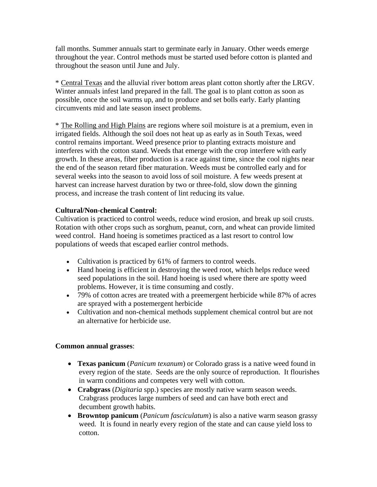fall months. Summer annuals start to germinate early in January. Other weeds emerge throughout the year. Control methods must be started used before cotton is planted and throughout the season until June and July.

\* Central Texas and the alluvial river bottom areas plant cotton shortly after the LRGV. Winter annuals infest land prepared in the fall. The goal is to plant cotton as soon as possible, once the soil warms up, and to produce and set bolls early. Early planting circumvents mid and late season insect problems.

\* The Rolling and High Plains are regions where soil moisture is at a premium, even in irrigated fields. Although the soil does not heat up as early as in South Texas, weed control remains important. Weed presence prior to planting extracts moisture and interferes with the cotton stand. Weeds that emerge with the crop interfere with early growth. In these areas, fiber production is a race against time, since the cool nights near the end of the season retard fiber maturation. Weeds must be controlled early and for several weeks into the season to avoid loss of soil moisture. A few weeds present at harvest can increase harvest duration by two or three-fold, slow down the ginning process, and increase the trash content of lint reducing its value.

### **Cultural/Non-chemical Control:**

Cultivation is practiced to control weeds, reduce wind erosion, and break up soil crusts. Rotation with other crops such as sorghum, peanut, corn, and wheat can provide limited weed control. Hand hoeing is sometimes practiced as a last resort to control low populations of weeds that escaped earlier control methods.

- Cultivation is practiced by 61% of farmers to control weeds.
- Hand hoeing is efficient in destroying the weed root, which helps reduce weed seed populations in the soil. Hand hoeing is used where there are spotty weed problems. However, it is time consuming and costly.
- 79% of cotton acres are treated with a preemergent herbicide while 87% of acres are sprayed with a postemergent herbicide
- Cultivation and non-chemical methods supplement chemical control but are not an alternative for herbicide use.

### **Common annual grasses**:

- **Texas panicum** (*Panicum texanum*) or Colorado grass is a native weed found in every region of the state. Seeds are the only source of reproduction. It flourishes in warm conditions and competes very well with cotton.
- **Crabgrass** (*Digitaria* spp.) species are mostly native warm season weeds. Crabgrass produces large numbers of seed and can have both erect and decumbent growth habits.
- **Browntop panicum** (*Panicum fasciculatum*) is also a native warm season grassy weed. It is found in nearly every region of the state and can cause yield loss to cotton.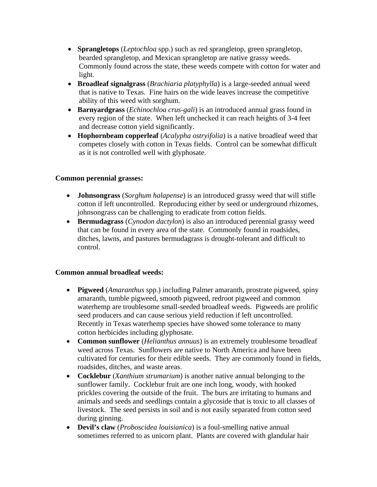- **Sprangletops** (*Leptochloa* spp.) such as red sprangletop, green sprangletop, bearded sprangletop, and Mexican sprangletop are native grassy weeds. Commonly found across the state, these weeds compete with cotton for water and light.
- **Broadleaf signalgrass** (*Brachiaria platyphylla*) is a large-seeded annual weed that is native to Texas. Fine hairs on the wide leaves increase the competitive ability of this weed with sorghum.
- **Barnyardgrass** (*Echinochloa crus-gali*) is an introduced annual grass found in every region of the state. When left unchecked it can reach heights of 3-4 feet and decrease cotton yield significantly.
- **Hophornbeam copperleaf** (*Acalypha ostryifolia*) is a native broadleaf weed that competes closely with cotton in Texas fields. Control can be somewhat difficult as it is not controlled well with glyphosate.

### **Common perennial grasses:**

- **Johnsongrass** (*Sorghum halapense*) is an introduced grassy weed that will stifle cotton if left uncontrolled. Reproducing either by seed or underground rhizomes, johnsongrass can be challenging to eradicate from cotton fields.
- **Bermudagrass** (*Cynodon dactylon*) is also an introduced perennial grassy weed that can be found in every area of the state. Commonly found in roadsides, ditches, lawns, and pastures bermudagrass is drought-tolerant and difficult to control.

### **Common annual broadleaf weeds:**

- **Pigweed** (*Amaranthus* spp.) including Palmer amaranth, prostrate pigweed, spiny amaranth, tumble pigweed, smooth pigweed, redroot pigweed and common waterhemp are troublesome small-seeded broadleaf weeds. Pigweeds are prolific seed producers and can cause serious yield reduction if left uncontrolled. Recently in Texas waterhemp species have showed some tolerance to many cotton herbicides including glyphosate.
- **Common sunflower** (*Helianthus annuus*) is an extremely troublesome broadleaf weed across Texas. Sunflowers are native to North America and have been cultivated for centuries for their edible seeds. They are commonly found in fields, roadsides, ditches, and waste areas.
- **Cocklebur** (*Xanthium strumarium*) is another native annual belonging to the sunflower family. Cocklebur fruit are one inch long, woody, with hooked prickles covering the outside of the fruit. The burs are irritating to humans and animals and seeds and seedlings contain a glycoside that is toxic to all classes of livestock. The seed persists in soil and is not easily separated from cotton seed during ginning.
- **Devil's claw** (*Proboscidea louisianica*) is a foul-smelling native annual sometimes referred to as unicorn plant. Plants are covered with glandular hair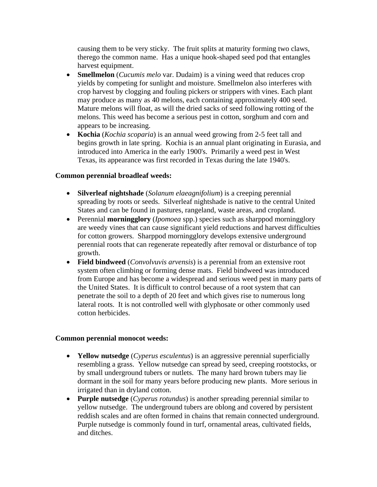causing them to be very sticky. The fruit splits at maturity forming two claws, therego the common name. Has a unique hook-shaped seed pod that entangles harvest equipment.

- **Smellmelon** (*Cucumis melo* var. Dudaim) is a vining weed that reduces crop yields by competing for sunlight and moisture. Smellmelon also interferes with crop harvest by clogging and fouling pickers or strippers with vines. Each plant may produce as many as 40 melons, each containing approximately 400 seed. Mature melons will float, as will the dried sacks of seed following rotting of the melons. This weed has become a serious pest in cotton, sorghum and corn and appears to be increasing.
- **Kochia** (*Kochia scoparia*) is an annual weed growing from 2-5 feet tall and begins growth in late spring. Kochia is an annual plant originating in Eurasia, and introduced into America in the early 1900's. Primarily a weed pest in West Texas, its appearance was first recorded in Texas during the late 1940's.

### **Common perennial broadleaf weeds:**

- **Silverleaf nightshade** (*Solanum elaeagnifolium*) is a creeping perennial spreading by roots or seeds. Silverleaf nightshade is native to the central United States and can be found in pastures, rangeland, waste areas, and cropland.
- Perennial **morningglory** (*Ipomoea* spp.) species such as sharppod morningglory are weedy vines that can cause significant yield reductions and harvest difficulties for cotton growers. Sharppod morningglory develops extensive underground perennial roots that can regenerate repeatedly after removal or disturbance of top growth.
- **Field bindweed** (*Convolvuvis arvensis*) is a perennial from an extensive root system often climbing or forming dense mats. Field bindweed was introduced from Europe and has become a widespread and serious weed pest in many parts of the United States. It is difficult to control because of a root system that can penetrate the soil to a depth of 20 feet and which gives rise to numerous long lateral roots. It is not controlled well with glyphosate or other commonly used cotton herbicides.

### **Common perennial monocot weeds:**

- **Yellow nutsedge** (*Cyperus esculentus*) is an aggressive perennial superficially resembling a grass. Yellow nutsedge can spread by seed, creeping rootstocks, or by small underground tubers or nutlets. The many hard brown tubers may lie dormant in the soil for many years before producing new plants. More serious in irrigated than in dryland cotton.
- **Purple nutsedge** (*Cyperus rotundus*) is another spreading perennial similar to yellow nutsedge. The underground tubers are oblong and covered by persistent reddish scales and are often formed in chains that remain connected underground. Purple nutsedge is commonly found in turf, ornamental areas, cultivated fields, and ditches.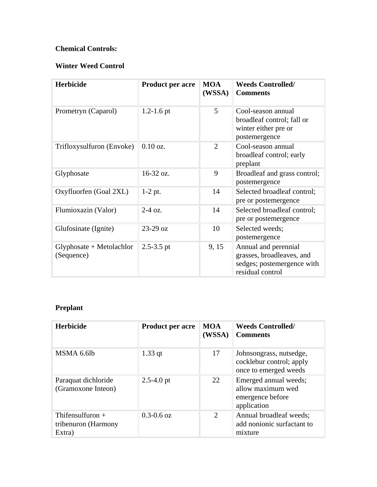### **Chemical Controls:**

### **Winter Weed Control**

| <b>Herbicide</b>                         | Product per acre | <b>MOA</b><br>(WSSA) | <b>Weeds Controlled/</b><br><b>Comments</b>                                                         |
|------------------------------------------|------------------|----------------------|-----------------------------------------------------------------------------------------------------|
| Prometryn (Caparol)                      | $1.2 - 1.6$ pt   | $\mathfrak{S}$       | Cool-season annual<br>broadleaf control; fall or<br>winter either pre or<br>postemergence           |
| Trifloxysulfuron (Envoke)                | $0.10$ oz.       | $\overline{2}$       | Cool-season annual<br>broadleaf control; early<br>preplant                                          |
| Glyphosate                               | 16-32 oz.        | 9                    | Broadleaf and grass control;<br>postemergence                                                       |
| Oxyfluorfen (Goal 2XL)                   | $1-2$ pt.        | 14                   | Selected broadleaf control;<br>pre or postemergence                                                 |
| Flumioxazin (Valor)                      | $2-4$ oz.        | 14                   | Selected broadleaf control;<br>pre or postemergence                                                 |
| Glufosinate (Ignite)                     | $23-29$ oz       | 10                   | Selected weeds;<br>postemergence                                                                    |
| $Glyphosate + Metolachlor$<br>(Sequence) | $2.5 - 3.5$ pt   | 9, 15                | Annual and perennial<br>grasses, broadleaves, and<br>sedges; postemergence with<br>residual control |

### **Preplant**

| <b>Herbicide</b>                                    | <b>Product per acre</b> | <b>MOA</b><br>(WSSA) | <b>Weeds Controlled/</b><br><b>Comments</b>                                   |
|-----------------------------------------------------|-------------------------|----------------------|-------------------------------------------------------------------------------|
| MSMA 6.6lb                                          | $1.33$ qt               | 17                   | Johnsongrass, nutsedge,<br>cocklebur control; apply<br>once to emerged weeds  |
| Paraquat dichloride<br>(Gramoxone Inteon)           | $2.5 - 4.0$ pt          | 22                   | Emerged annual weeds;<br>allow maximum wed<br>emergence before<br>application |
| Thifensulfuron $+$<br>tribenuron (Harmony<br>Extra) | $0.3 - 0.6$ oz          | 2                    | Annual broadleaf weeds;<br>add nonionic surfactant to<br>mixture              |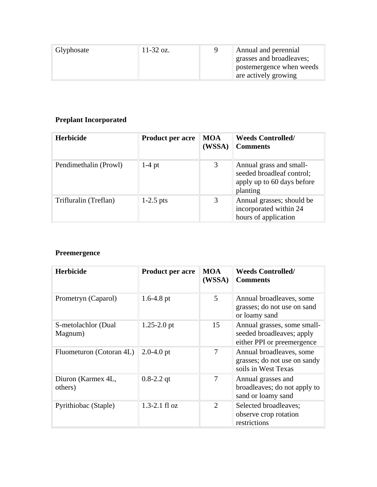| Glyphosate | 11-32 oz. | Annual and perennial     |
|------------|-----------|--------------------------|
|            |           | grasses and broadleaves; |
|            |           | postemergence when weeds |
|            |           | are actively growing     |

### **Preplant Incorporated**

| <b>Herbicide</b>      | <b>Product per acre</b> | <b>MOA</b><br>(WSSA) | <b>Weeds Controlled/</b><br><b>Comments</b>                                                    |
|-----------------------|-------------------------|----------------------|------------------------------------------------------------------------------------------------|
| Pendimethalin (Prowl) | $1-4$ pt                | 3                    | Annual grass and small-<br>seeded broadleaf control;<br>apply up to 60 days before<br>planting |
| Trifluralin (Treflan) | $1-2.5$ pts             | 3                    | Annual grasses; should be<br>incorporated within 24<br>hours of application                    |

### **Preemergence**

| <b>Herbicide</b>               | <b>Product per acre</b> | <b>MOA</b><br>(WSSA)        | <b>Weeds Controlled/</b><br><b>Comments</b>                                            |
|--------------------------------|-------------------------|-----------------------------|----------------------------------------------------------------------------------------|
| Prometryn (Caparol)            | $1.6 - 4.8$ pt          | 5                           | Annual broadleaves, some<br>grasses; do not use on sand<br>or loamy sand               |
| S-metolachlor (Dual<br>Magnum) | $1.25 - 2.0$ pt         | 15                          | Annual grasses, some small-<br>seeded broadleaves; apply<br>either PPI or preemergence |
| Fluometuron (Cotoran 4L)       | $2.0 - 4.0$ pt          | 7                           | Annual broadleaves, some<br>grasses; do not use on sandy<br>soils in West Texas        |
| Diuron (Karmex 4L,<br>others)  | $0.8 - 2.2$ qt          | 7                           | Annual grasses and<br>broadleaves; do not apply to<br>sand or loamy sand               |
| Pyrithiobac (Staple)           | $1.3 - 2.1$ fl oz       | $\mathcal{D}_{\mathcal{L}}$ | Selected broadleaves;<br>observe crop rotation<br>restrictions                         |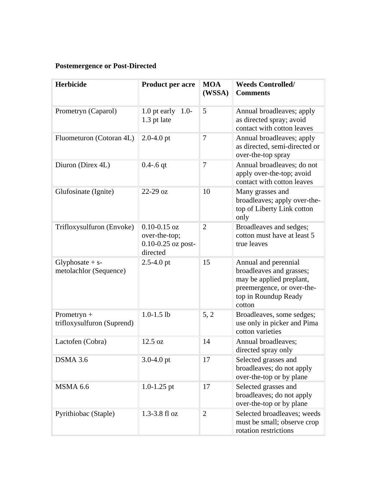### **Postemergence or Post-Directed**

| <b>Herbicide</b>                             | <b>Product per acre</b>                                                 | <b>MOA</b><br>(WSSA) | <b>Weeds Controlled/</b><br><b>Comments</b>                                                                                                  |
|----------------------------------------------|-------------------------------------------------------------------------|----------------------|----------------------------------------------------------------------------------------------------------------------------------------------|
| Prometryn (Caparol)                          | 1.0 pt early<br>$1.0-$<br>1.3 pt late                                   | 5                    | Annual broadleaves; apply<br>as directed spray; avoid<br>contact with cotton leaves                                                          |
| Fluometuron (Cotoran 4L)                     | $2.0 - 4.0$ pt                                                          | $\overline{7}$       | Annual broadleaves; apply<br>as directed, semi-directed or<br>over-the-top spray                                                             |
| Diuron (Direx 4L)                            | $0.4 - 0.6$ qt                                                          | 7                    | Annual broadleaves; do not<br>apply over-the-top; avoid<br>contact with cotton leaves                                                        |
| Glufosinate (Ignite)                         | $22-29$ oz                                                              | 10                   | Many grasses and<br>broadleaves; apply over-the-<br>top of Liberty Link cotton<br>only                                                       |
| Trifloxysulfuron (Envoke)                    | $0.10 - 0.15$ oz<br>over-the-top;<br>$0.10 - 0.25$ oz post-<br>directed | $\overline{2}$       | Broadleaves and sedges;<br>cotton must have at least 5<br>true leaves                                                                        |
| Glyphosate $+ s$ -<br>metolachlor (Sequence) | $2.5 - 4.0$ pt                                                          | 15                   | Annual and perennial<br>broadleaves and grasses;<br>may be applied preplant,<br>preemergence, or over-the-<br>top in Roundup Ready<br>cotton |
| Prometryn $+$<br>trifloxysulfuron (Suprend)  | $1.0 - 1.5$ lb                                                          | 5, 2                 | Broadleaves, some sedges;<br>use only in picker and Pima<br>cotton varieties                                                                 |
| Lactofen (Cobra)                             | 12.5 oz                                                                 | 14                   | Annual broadleaves;<br>directed spray only                                                                                                   |
| DSMA 3.6                                     | $3.0 - 4.0$ pt                                                          | 17                   | Selected grasses and<br>broadleaves; do not apply<br>over-the-top or by plane                                                                |
| MSMA 6.6                                     | $1.0 - 1.25$ pt                                                         | 17                   | Selected grasses and<br>broadleaves; do not apply<br>over-the-top or by plane                                                                |
| Pyrithiobac (Staple)                         | 1.3-3.8 fl oz                                                           | $\overline{2}$       | Selected broadleaves; weeds<br>must be small; observe crop<br>rotation restrictions                                                          |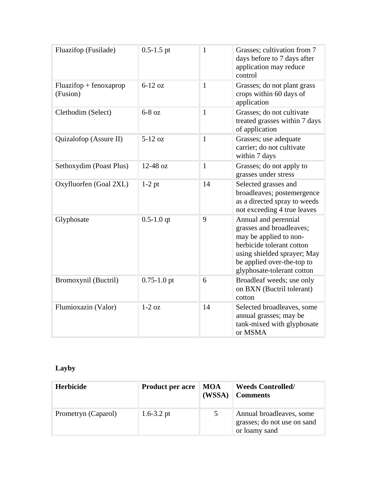| Fluazifop (Fusilade)                 | $0.5 - 1.5$ pt  | $\mathbf{1}$ | Grasses; cultivation from 7<br>days before to 7 days after<br>application may reduce<br>control                                                                                                    |
|--------------------------------------|-----------------|--------------|----------------------------------------------------------------------------------------------------------------------------------------------------------------------------------------------------|
| $Fluazifop + fenoxaprop$<br>(Fusion) | $6-12$ oz       | $\mathbf{1}$ | Grasses; do not plant grass<br>crops within 60 days of<br>application                                                                                                                              |
| Clethodim (Select)                   | $6-8$ oz        | $\mathbf{1}$ | Grasses; do not cultivate<br>treated grasses within 7 days<br>of application                                                                                                                       |
| Quizalofop (Assure II)               | $5-12$ oz       | $\mathbf{1}$ | Grasses; use adequate<br>carrier; do not cultivate<br>within 7 days                                                                                                                                |
| Sethoxydim (Poast Plus)              | 12-48 oz        | $\mathbf{1}$ | Grasses; do not apply to<br>grasses under stress                                                                                                                                                   |
| Oxyfluorfen (Goal 2XL)               | $1-2$ pt        | 14           | Selected grasses and<br>broadleaves; postemergence<br>as a directed spray to weeds<br>not exceeding 4 true leaves                                                                                  |
| Glyphosate                           | $0.5 - 1.0$ qt  | 9            | Annual and perennial<br>grasses and broadleaves;<br>may be applied to non-<br>herbicide tolerant cotton<br>using shielded sprayer; May<br>be applied over-the-top to<br>glyphosate-tolerant cotton |
| Bromoxynil (Buctril)                 | $0.75 - 1.0$ pt | 6            | Broadleaf weeds; use only<br>on BXN (Buctril tolerant)<br>cotton                                                                                                                                   |
| Flumioxazin (Valor)                  | $1-2$ oz        | 14           | Selected broadleaves, some<br>annual grasses; may be<br>tank-mixed with glyphosate<br>or MSMA                                                                                                      |

## **Layby**

| <b>Herbicide</b>    | <b>Product per acre</b> | <b>MOA</b><br>(WSSA) | <b>Weeds Controlled/</b><br><b>Comments</b>                              |
|---------------------|-------------------------|----------------------|--------------------------------------------------------------------------|
| Prometryn (Caparol) | 1.6-3.2 pt              |                      | Annual broadleaves, some<br>grasses; do not use on sand<br>or loamy sand |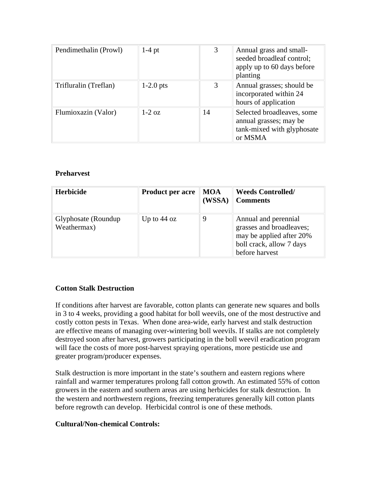| Pendimethalin (Prowl) | $1-4$ pt     | 3  | Annual grass and small-<br>seeded broadleaf control;<br>apply up to 60 days before<br>planting |
|-----------------------|--------------|----|------------------------------------------------------------------------------------------------|
| Trifluralin (Treflan) | $1-2.0$ pts  | 3  | Annual grasses; should be<br>incorporated within 24<br>hours of application                    |
| Flumioxazin (Valor)   | $1-2 \Omega$ | 14 | Selected broadleaves, some<br>annual grasses; may be<br>tank-mixed with glyphosate<br>or MSMA  |

### **Preharvest**

| <b>Herbicide</b>                    | <b>Product per acre</b> | <b>MOA</b><br>(WSSA) | <b>Weeds Controlled/</b><br><b>Comments</b>                                                                                |
|-------------------------------------|-------------------------|----------------------|----------------------------------------------------------------------------------------------------------------------------|
| Glyphosate (Roundup)<br>Weathermax) | Up to $44 \text{ oz}$   | 9                    | Annual and perennial<br>grasses and broadleaves;<br>may be applied after 20%<br>boll crack, allow 7 days<br>before harvest |

### **Cotton Stalk Destruction**

If conditions after harvest are favorable, cotton plants can generate new squares and bolls in 3 to 4 weeks, providing a good habitat for boll weevils, one of the most destructive and costly cotton pests in Texas. When done area-wide, early harvest and stalk destruction are effective means of managing over-wintering boll weevils. If stalks are not completely destroyed soon after harvest, growers participating in the boll weevil eradication program will face the costs of more post-harvest spraying operations, more pesticide use and greater program/producer expenses.

Stalk destruction is more important in the state's southern and eastern regions where rainfall and warmer temperatures prolong fall cotton growth. An estimated 55% of cotton growers in the eastern and southern areas are using herbicides for stalk destruction. In the western and northwestern regions, freezing temperatures generally kill cotton plants before regrowth can develop. Herbicidal control is one of these methods.

### **Cultural/Non-chemical Controls:**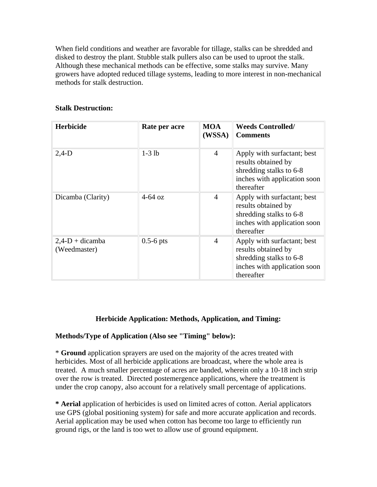When field conditions and weather are favorable for tillage, stalks can be shredded and disked to destroy the plant. Stubble stalk pullers also can be used to uproot the stalk. Although these mechanical methods can be effective, some stalks may survive. Many growers have adopted reduced tillage systems, leading to more interest in non-mechanical methods for stalk destruction.

| <b>Herbicide</b>                   | Rate per acre | <b>MOA</b><br>(WSSA) | <b>Weeds Controlled/</b><br><b>Comments</b>                                                                                 |
|------------------------------------|---------------|----------------------|-----------------------------------------------------------------------------------------------------------------------------|
| $2,4-D$                            | $1-3$ lb      | $\overline{4}$       | Apply with surfactant; best<br>results obtained by<br>shredding stalks to 6-8<br>inches with application soon<br>thereafter |
| Dicamba (Clarity)                  | $4-64$ oz     | $\overline{4}$       | Apply with surfactant; best<br>results obtained by<br>shredding stalks to 6-8<br>inches with application soon<br>thereafter |
| $2,4$ -D + dicamba<br>(Weedmaster) | $0.5-6$ pts   | $\overline{4}$       | Apply with surfactant; best<br>results obtained by<br>shredding stalks to 6-8<br>inches with application soon<br>thereafter |

### **Herbicide Application: Methods, Application, and Timing:**

### **Methods/Type of Application (Also see "Timing" below):**

\* **Ground** application sprayers are used on the majority of the acres treated with herbicides. Most of all herbicide applications are broadcast, where the whole area is treated. A much smaller percentage of acres are banded, wherein only a 10-18 inch strip over the row is treated. Directed postemergence applications, where the treatment is under the crop canopy, also account for a relatively small percentage of applications.

**\* Aerial** application of herbicides is used on limited acres of cotton. Aerial applicators use GPS (global positioning system) for safe and more accurate application and records. Aerial application may be used when cotton has become too large to efficiently run ground rigs, or the land is too wet to allow use of ground equipment.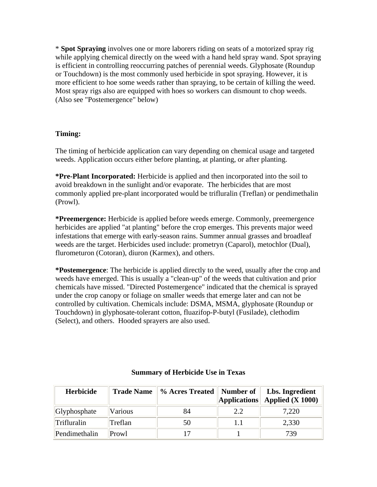\* **Spot Spraying** involves one or more laborers riding on seats of a motorized spray rig while applying chemical directly on the weed with a hand held spray wand. Spot spraying is efficient in controlling reoccurring patches of perennial weeds. Glyphosate (Roundup or Touchdown) is the most commonly used herbicide in spot spraying. However, it is more efficient to hoe some weeds rather than spraying, to be certain of killing the weed. Most spray rigs also are equipped with hoes so workers can dismount to chop weeds. (Also see "Postemergence" below)

### **Timing:**

The timing of herbicide application can vary depending on chemical usage and targeted weeds. Application occurs either before planting, at planting, or after planting.

**\*Pre-Plant Incorporated:** Herbicide is applied and then incorporated into the soil to avoid breakdown in the sunlight and/or evaporate. The herbicides that are most commonly applied pre-plant incorporated would be trifluralin (Treflan) or pendimethalin (Prowl).

**\*Preemergence:** Herbicide is applied before weeds emerge. Commonly, preemergence herbicides are applied "at planting" before the crop emerges. This prevents major weed infestations that emerge with early-season rains. Summer annual grasses and broadleaf weeds are the target. Herbicides used include: prometryn (Caparol), metochlor (Dual), flurometuron (Cotoran), diuron (Karmex), and others.

**\*Postemergence**: The herbicide is applied directly to the weed, usually after the crop and weeds have emerged. This is usually a "clean-up" of the weeds that cultivation and prior chemicals have missed. "Directed Postemergence" indicated that the chemical is sprayed under the crop canopy or foliage on smaller weeds that emerge later and can not be controlled by cultivation. Chemicals include: DSMA, MSMA, glyphosate (Roundup or Touchdown) in glyphosate-tolerant cotton, fluazifop-P-butyl (Fusilade), clethodim (Select), and others. Hooded sprayers are also used.

| <b>Herbicide</b> | <b>Trade Name</b> | % Acres Treated    Number of | <b>Applications</b> | Lbs. Ingredient<br>Applied $(X 1000)$ |
|------------------|-------------------|------------------------------|---------------------|---------------------------------------|
| Glyphosphate     | Various           | 84                           | 2.2                 | 7,220                                 |
| Trifluralin      | Treflan           | 50                           |                     | 2,330                                 |
| Pendimethalin    | Prowl             |                              |                     | 739                                   |

### **Summary of Herbicide Use in Texas**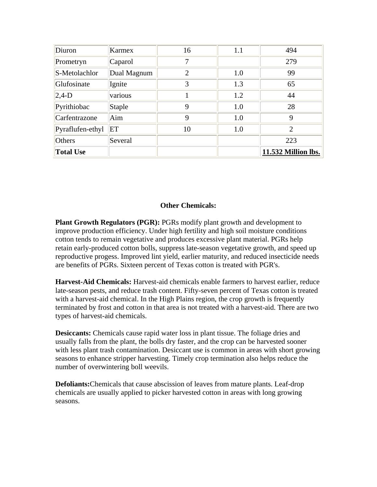| Diuron           | Karmex        | 16             | 1.1 | 494                 |
|------------------|---------------|----------------|-----|---------------------|
| Prometryn        | Caparol       | 7              |     | 279                 |
| S-Metolachlor    | Dual Magnum   | $\overline{2}$ | 1.0 | 99                  |
| Glufosinate      | Ignite        | 3              | 1.3 | 65                  |
| $ 2,4-D$         | various       |                | 1.2 | 44                  |
| Pyrithiobac      | <b>Staple</b> | 9              | 1.0 | 28                  |
| Carfentrazone    | Aim           | 9              | 1.0 | 9                   |
| Pyraflufen-ethyl | ET            | 10             | 1.0 | $\overline{2}$      |
| Others           | Several       |                |     | 223                 |
| <b>Total Use</b> |               |                |     | 11.532 Million lbs. |

### **Other Chemicals:**

**Plant Growth Regulators (PGR):** PGRs modify plant growth and development to improve production efficiency. Under high fertility and high soil moisture conditions cotton tends to remain vegetative and produces excessive plant material. PGRs help retain early-produced cotton bolls, suppress late-season vegetative growth, and speed up reproductive progess. Improved lint yield, earlier maturity, and reduced insecticide needs are benefits of PGRs. Sixteen percent of Texas cotton is treated with PGR's.

**Harvest-Aid Chemicals:** Harvest-aid chemicals enable farmers to harvest earlier, reduce late-season pests, and reduce trash content. Fifty-seven percent of Texas cotton is treated with a harvest-aid chemical. In the High Plains region, the crop growth is frequently terminated by frost and cotton in that area is not treated with a harvest-aid. There are two types of harvest-aid chemicals.

**Desiccants:** Chemicals cause rapid water loss in plant tissue. The foliage dries and usually falls from the plant, the bolls dry faster, and the crop can be harvested sooner with less plant trash contamination. Desiccant use is common in areas with short growing seasons to enhance stripper harvesting. Timely crop termination also helps reduce the number of overwintering boll weevils.

**Defoliants:**Chemicals that cause abscission of leaves from mature plants. Leaf-drop chemicals are usually applied to picker harvested cotton in areas with long growing seasons.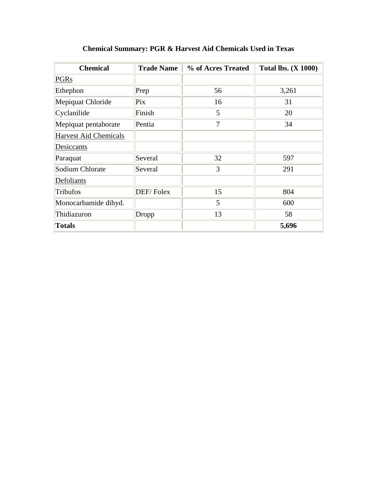| <b>Chemical</b>              | <b>Trade Name</b> | % of Acres Treated | <b>Total lbs. (X 1000)</b> |
|------------------------------|-------------------|--------------------|----------------------------|
| <b>PGRs</b>                  |                   |                    |                            |
| Ethephon                     | Prep              | 56                 | 3,261                      |
| Mepiquat Chloride            | Pix               | 16                 | 31                         |
| Cyclanilide                  | Finish            | 5                  | 20                         |
| Mepiquat pentaborate         | Pentia            | 7                  | 34                         |
| <b>Harvest Aid Chemicals</b> |                   |                    |                            |
| Desiccants                   |                   |                    |                            |
| Paraquat                     | Several           | 32                 | 597                        |
| Sodium Chlorate              | Several           | 3                  | 291                        |
| Defoliants                   |                   |                    |                            |
| Tribufos                     | DEF/Folex         | 15                 | 804                        |
| Monocarbamide dihyd.         |                   | 5                  | 600                        |
| Thidiazuron                  | Dropp             | 13                 | 58                         |
| <b>Totals</b>                |                   |                    | 5,696                      |

### **Chemical Summary: PGR & Harvest Aid Chemicals Used in Texas**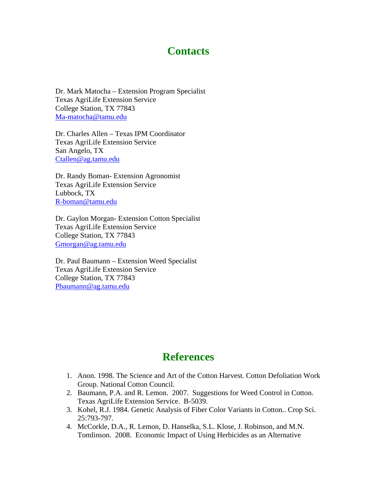## **Contacts**

Dr. Mark Matocha – Extension Program Specialist Texas AgriLife Extension Service College Station, TX 77843 Ma-matocha@tamu.edu

Dr. Charles Allen – Texas IPM Coordinator Texas AgriLife Extension Service San Angelo, TX Ctallen@ag.tamu.edu

Dr. Randy Boman- Extension Agronomist Texas AgriLife Extension Service Lubbock, TX R-boman@tamu.edu

Dr. Gaylon Morgan- Extension Cotton Specialist Texas AgriLife Extension Service College Station, TX 77843 Gmorgan@ag.tamu.edu

Dr. Paul Baumann – Extension Weed Specialist Texas AgriLife Extension Service College Station, TX 77843 Pbaumann@ag.tamu.edu

## **References**

- 1. Anon. 1998. The Science and Art of the Cotton Harvest. Cotton Defoliation Work Group. National Cotton Council.
- 2. Baumann, P.A. and R. Lemon. 2007. Suggestions for Weed Control in Cotton. Texas AgriLife Extension Service. B-5039.
- 3. Kohel, R.J. 1984. Genetic Analysis of Fiber Color Variants in Cotton.. Crop Sci. 25:793-797.
- 4. McCorkle, D.A., R. Lemon, D. Hanselka, S.L. Klose, J. Robinson, and M.N. Tomlinson. 2008. Economic Impact of Using Herbicides as an Alternative